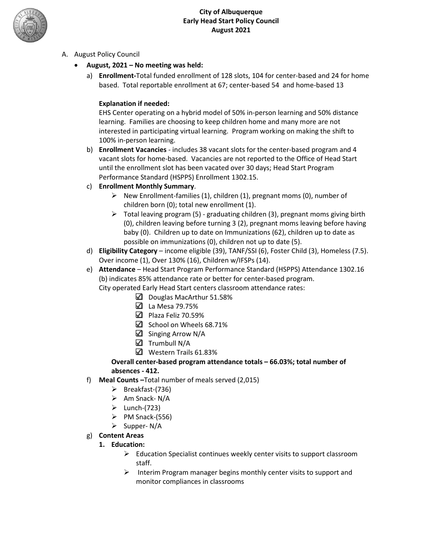

- A. August Policy Council
	- **August, 2021 No meeting was held:**
		- a) **Enrollment-**Total funded enrollment of 128 slots, 104 for center-based and 24 for home based. Total reportable enrollment at 67; center-based 54 and home-based 13

#### **Explanation if needed:**

EHS Center operating on a hybrid model of 50% in-person learning and 50% distance learning. Families are choosing to keep children home and many more are not interested in participating virtual learning. Program working on making the shift to 100% in-person learning.

b) **Enrollment Vacancies** - includes 38 vacant slots for the center-based program and 4 vacant slots for home-based. Vacancies are not reported to the Office of Head Start until the enrollment slot has been vacated over 30 days; Head Start Program Performance Standard (HSPPS) Enrollment 1302.15.

## c) **Enrollment Monthly Summary**.

- $\triangleright$  New Enrollment-families (1), children (1), pregnant moms (0), number of children born (0); total new enrollment (1).
- $\triangleright$  Total leaving program (5) graduating children (3), pregnant moms giving birth (0), children leaving before turning 3 (2), pregnant moms leaving before having baby (0). Children up to date on Immunizations (62), children up to date as possible on immunizations (0), children not up to date (5).
- d) **Eligibility Category** income eligible (39), TANF/SSI (6), Foster Child (3), Homeless (7.5). Over income (1), Over 130% (16), Children w/IFSPs (14).
- e) **Attendance** Head Start Program Performance Standard (HSPPS) Attendance 1302.16 (b) indicates 85% attendance rate or better for center-based program.

City operated Early Head Start centers classroom attendance rates:

- $\Box$  Douglas MacArthur 51.58%
- La Mesa 79.75%
- $\Box$  Plaza Feliz 70.59%
- $\boxtimes$  School on Wheels 68.71%
- $\Box$  Singing Arrow N/A
- $\Box$  Trumbull N/A
- Western Trails 61.83%

#### **Overall center-based program attendance totals – 66.03%; total number of absences - 412.**

- f) **Meal Counts –**Total number of meals served (2,015)
	- $\triangleright$  Breakfast-(736)
	- $\triangleright$  Am Snack- N/A
	- $\triangleright$  Lunch-(723)
	- $\triangleright$  PM Snack-(556)
	- $\triangleright$  Supper- N/A
- g) **Content Areas**
	- **1. Education:**
		- $\triangleright$  Education Specialist continues weekly center visits to support classroom staff.
		- $\triangleright$  Interim Program manager begins monthly center visits to support and monitor compliances in classrooms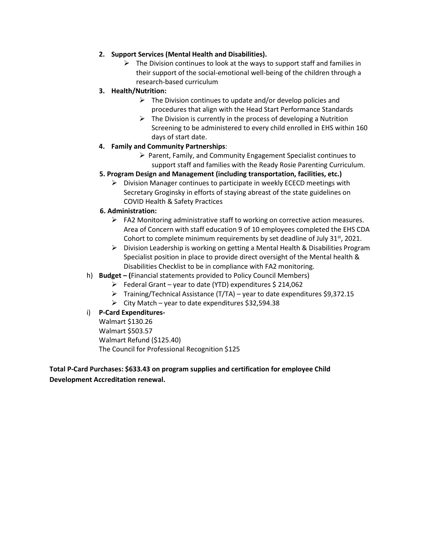#### **2. Support Services (Mental Health and Disabilities).**

 $\triangleright$  The Division continues to look at the ways to support staff and families in their support of the social-emotional well-being of the children through a research-based curriculum

## **3. Health/Nutrition:**

- $\triangleright$  The Division continues to update and/or develop policies and procedures that align with the Head Start Performance Standards
- $\triangleright$  The Division is currently in the process of developing a Nutrition Screening to be administered to every child enrolled in EHS within 160 days of start date.
- **4. Family and Community Partnerships**:
	- $\triangleright$  Parent, Family, and Community Engagement Specialist continues to support staff and families with the Ready Rosie Parenting Curriculum.
- **5. Program Design and Management (including transportation, facilities, etc.)**
	- $\triangleright$  Division Manager continues to participate in weekly ECECD meetings with Secretary Groginsky in efforts of staying abreast of the state guidelines on COVID Health & Safety Practices

#### **6. Administration:**

- $\triangleright$  FA2 Monitoring administrative staff to working on corrective action measures. Area of Concern with staff education 9 of 10 employees completed the EHS CDA Cohort to complete minimum requirements by set deadline of July  $31<sup>st</sup>$ , 2021.
- $\triangleright$  Division Leadership is working on getting a Mental Health & Disabilities Program Specialist position in place to provide direct oversight of the Mental health & Disabilities Checklist to be in compliance with FA2 monitoring.
- h) **Budget – (**Financial statements provided to Policy Council Members)
	- $\triangleright$  Federal Grant year to date (YTD) expenditures \$ 214,062
	- $\triangleright$  Training/Technical Assistance (T/TA) year to date expenditures \$9,372.15
	- $\triangleright$  City Match year to date expenditures \$32,594.38

#### i) **P-Card Expenditures-**

Walmart \$130.26 Walmart \$503.57 Walmart Refund (\$125.40) The Council for Professional Recognition \$125

**Total P-Card Purchases: \$633.43 on program supplies and certification for employee Child Development Accreditation renewal.**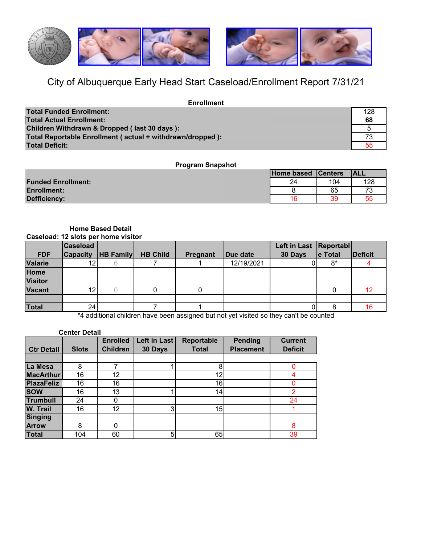

## City of Albuquerque Early Head Start Caseload/Enrollment Report 7/31/21

| <b>Enrollment</b>                                         |     |
|-----------------------------------------------------------|-----|
| <b>Total Funded Enrollment:</b>                           | 128 |
| <b>Total Actual Enrollment:</b>                           | 68  |
| Children Withdrawn & Dropped (last 30 days):              |     |
| Total Reportable Enrollment (actual + withdrawn/dropped): | 73  |
| Total Deficit:                                            |     |

## **Program Snapshot**

|                           | Home based Centers |     | <b>IALL</b> |
|---------------------------|--------------------|-----|-------------|
| <b>Funded Enrollment:</b> | 24                 | 104 | 128         |
| <b>Enrollment:</b>        |                    | 65  |             |
| <b>Defficiency:</b>       | 16                 | 39  | 55          |

#### **Caseload: 12 slots per home visitor Home Based Detail**

|                | <b>Caseload</b> |                  |                 |                 |                  | Left in Last Reportabl |         |                |
|----------------|-----------------|------------------|-----------------|-----------------|------------------|------------------------|---------|----------------|
| <b>FDF</b>     | <b>Capacity</b> | <b>HB Family</b> | <b>HB Child</b> | <b>Pregnant</b> | <b>IDue date</b> | 30 Days                | e Total | <b>Deficit</b> |
| Valarie        | 12I             |                  |                 |                 | 12/19/2021       |                        | $8*$    |                |
| Home           |                 |                  |                 |                 |                  |                        |         |                |
| <b>Visitor</b> |                 |                  |                 |                 |                  |                        |         |                |
| <b>Vacant</b>  | 12 <sub>1</sub> |                  |                 |                 |                  |                        |         | 12             |
|                |                 |                  |                 |                 |                  |                        |         |                |
| Total          | 24 <sub>1</sub> |                  |                 |                 |                  |                        |         | 16.            |

\*4 additional children have been assigned but not yet visited so they can't be counted

|                   | <b>Center Detail</b> |                 |                |                   |                  |                |
|-------------------|----------------------|-----------------|----------------|-------------------|------------------|----------------|
|                   |                      | <b>Enrolled</b> | Left in Last   | <b>Reportable</b> | <b>Pending</b>   | <b>Current</b> |
| <b>Ctr Detail</b> | <b>Slots</b>         | <b>Children</b> | 30 Days        | <b>Total</b>      | <b>Placement</b> | <b>Deficit</b> |
|                   |                      |                 |                |                   |                  |                |
| La Mesa           | 8                    |                 |                | 8                 |                  | 0              |
| <b>MacArthur</b>  | 16                   | 12              |                | 12                |                  | 4              |
| <b>PlazaFeliz</b> | 16                   | 16              |                | 16                |                  | 0              |
| <b>SOW</b>        | 16                   | 13              |                | 14                |                  | $\overline{2}$ |
| <b>Trumbull</b>   | 24                   |                 |                |                   |                  | 24             |
| <b>W. Trail</b>   | 16                   | 12              | 3              | 15                |                  |                |
| <b>Singing</b>    |                      |                 |                |                   |                  |                |
| <b>Arrow</b>      | 8                    | $\Omega$        |                |                   |                  | 8              |
| Total             | 104                  | 60              | 5 <sub>l</sub> | 65                |                  | 39             |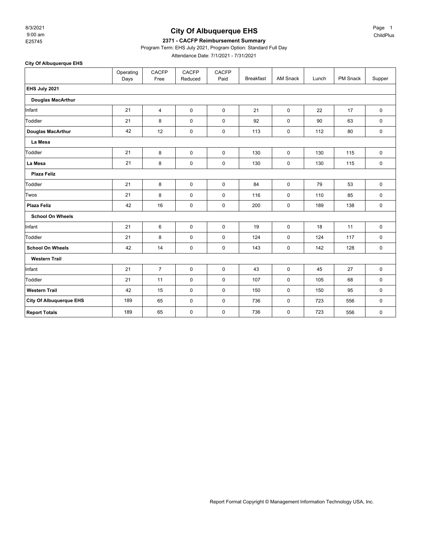9:00 am 8/3/2021

## **City Of Albuquerque EHS**

#### E25745 **2371 - CACFP Reimbursement Summary**

Program Term: EHS July 2021, Program Option: Standard Full Day

Attendance Date: 7/1/2021 - 7/31/2021

**City Of Albuquerque EHS**

|                                | Operating<br>Days | <b>CACFP</b><br>Free | <b>CACFP</b><br>Reduced | <b>CACFP</b><br>Paid | <b>Breakfast</b> | AM Snack    | Lunch | PM Snack | Supper      |  |  |
|--------------------------------|-------------------|----------------------|-------------------------|----------------------|------------------|-------------|-------|----------|-------------|--|--|
| EHS July 2021                  |                   |                      |                         |                      |                  |             |       |          |             |  |  |
| <b>Douglas MacArthur</b>       |                   |                      |                         |                      |                  |             |       |          |             |  |  |
| Infant                         | 21                | $\overline{4}$       | $\mathbf 0$             | $\mathbf 0$          | 21               | $\mathbf 0$ | 22    | 17       | $\mathbf 0$ |  |  |
| Toddler                        | 21                | 8                    | $\mathbf 0$             | $\mathbf 0$          | 92               | $\mathsf 0$ | 90    | 63       | 0           |  |  |
| Douglas MacArthur              | 42                | 12                   | $\pmb{0}$               | $\mathbf 0$          | 113              | $\mathbf 0$ | 112   | 80       | 0           |  |  |
| La Mesa                        |                   |                      |                         |                      |                  |             |       |          |             |  |  |
| Toddler                        | 21                | 8                    | $\mathbf 0$             | $\mathbf 0$          | 130              | $\mathbf 0$ | 130   | 115      | $\mathbf 0$ |  |  |
| La Mesa                        | 21                | 8                    | $\pmb{0}$               | 0                    | 130              | 0           | 130   | 115      | $\mathbf 0$ |  |  |
| <b>Plaza Feliz</b>             |                   |                      |                         |                      |                  |             |       |          |             |  |  |
| Toddler                        | 21                | 8                    | $\mathbf 0$             | $\mathbf 0$          | 84               | $\mathbf 0$ | 79    | 53       | $\mathbf 0$ |  |  |
| Twos                           | 21                | 8                    | $\mathbf 0$             | $\mathbf 0$          | 116              | $\mathsf 0$ | 110   | 85       | $\pmb{0}$   |  |  |
| Plaza Feliz                    | 42                | 16                   | $\pmb{0}$               | $\mathbf 0$          | 200              | $\mathsf 0$ | 189   | 138      | $\pmb{0}$   |  |  |
| <b>School On Wheels</b>        |                   |                      |                         |                      |                  |             |       |          |             |  |  |
| Infant                         | 21                | 6                    | $\mathbf 0$             | $\mathbf 0$          | 19               | 0           | 18    | 11       | 0           |  |  |
| Toddler                        | 21                | 8                    | $\mathbf 0$             | $\mathbf 0$          | 124              | $\mathbf 0$ | 124   | 117      | $\mathbf 0$ |  |  |
| <b>School On Wheels</b>        | 42                | 14                   | $\mathbf 0$             | 0                    | 143              | 0           | 142   | 128      | $\mathbf 0$ |  |  |
| <b>Western Trail</b>           |                   |                      |                         |                      |                  |             |       |          |             |  |  |
| Infant                         | 21                | $\overline{7}$       | $\mathbf 0$             | $\mathbf 0$          | 43               | $\mathbf 0$ | 45    | 27       | $\mathbf 0$ |  |  |
| Toddler                        | 21                | 11                   | $\mathbf 0$             | 0                    | 107              | $\mathbf 0$ | 105   | 68       | $\mathbf 0$ |  |  |
| <b>Western Trail</b>           | 42                | 15                   | $\mathbf 0$             | 0                    | 150              | 0           | 150   | 95       | 0           |  |  |
| <b>City Of Albuquerque EHS</b> | 189               | 65                   | $\mathbf 0$             | 0                    | 736              | $\mathbf 0$ | 723   | 556      | $\mathbf 0$ |  |  |
| <b>Report Totals</b>           | 189               | 65                   | $\pmb{0}$               | 0                    | 736              | 0           | 723   | 556      | 0           |  |  |